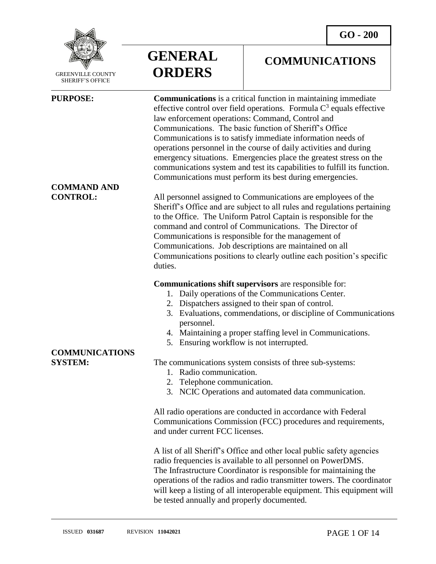**COMMUNICATIONS**



 GREENVILLE COUNTY SHERIFF'S OFFICE

l

**COMMAND AND** 

**GENERAL ORDERS**

**PURPOSE: Communications** is a critical function in maintaining immediate effective control over field operations. Formula  $C<sup>3</sup>$  equals effective law enforcement operations: Command, Control and Communications. The basic function of Sheriff's Office Communications is to satisfy immediate information needs of operations personnel in the course of daily activities and during emergency situations. Emergencies place the greatest stress on the communications system and test its capabilities to fulfill its function. Communications must perform its best during emergencies.

**CONTROL:** All personnel assigned to Communications are employees of the Sheriff's Office and are subject to all rules and regulations pertaining to the Office. The Uniform Patrol Captain is responsible for the command and control of Communications. The Director of Communications is responsible for the management of Communications. Job descriptions are maintained on all Communications positions to clearly outline each position's specific duties.

### **Communications shift supervisors** are responsible for:

- 1. Daily operations of the Communications Center.
- 2. Dispatchers assigned to their span of control.
- 3. Evaluations, commendations, or discipline of Communications personnel.
- 4. Maintaining a proper staffing level in Communications.
- 5. Ensuring workflow is not interrupted.

### **SYSTEM:** The communications system consists of three sub-systems:

- 1. Radio communication.
- 2. Telephone communication.
- 3. NCIC Operations and automated data communication.

All radio operations are conducted in accordance with Federal Communications Commission (FCC) procedures and requirements, and under current FCC licenses.

A list of all Sheriff's Office and other local public safety agencies radio frequencies is available to all personnel on PowerDMS. The Infrastructure Coordinator is responsible for maintaining the operations of the radios and radio transmitter towers. The coordinator will keep a listing of all interoperable equipment. This equipment will be tested annually and properly documented.

# **COMMUNICATIONS**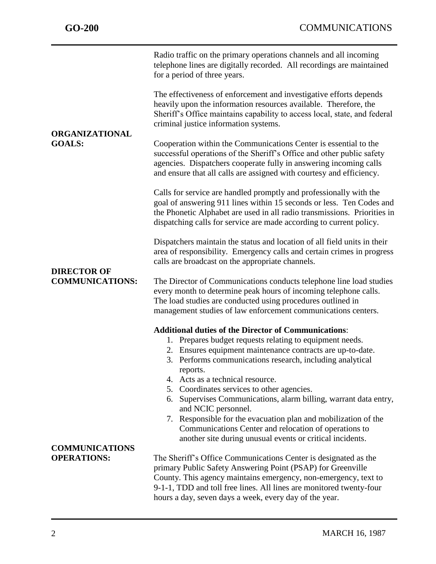|                                              | Radio traffic on the primary operations channels and all incoming<br>telephone lines are digitally recorded. All recordings are maintained<br>for a period of three years.                                                                                                                                                                                                                                           |
|----------------------------------------------|----------------------------------------------------------------------------------------------------------------------------------------------------------------------------------------------------------------------------------------------------------------------------------------------------------------------------------------------------------------------------------------------------------------------|
|                                              | The effectiveness of enforcement and investigative efforts depends<br>heavily upon the information resources available. Therefore, the<br>Sheriff's Office maintains capability to access local, state, and federal<br>criminal justice information systems.                                                                                                                                                         |
| <b>ORGANIZATIONAL</b><br><b>GOALS:</b>       | Cooperation within the Communications Center is essential to the<br>successful operations of the Sheriff's Office and other public safety<br>agencies. Dispatchers cooperate fully in answering incoming calls<br>and ensure that all calls are assigned with courtesy and efficiency.                                                                                                                               |
|                                              | Calls for service are handled promptly and professionally with the<br>goal of answering 911 lines within 15 seconds or less. Ten Codes and<br>the Phonetic Alphabet are used in all radio transmissions. Priorities in<br>dispatching calls for service are made according to current policy.                                                                                                                        |
|                                              | Dispatchers maintain the status and location of all field units in their<br>area of responsibility. Emergency calls and certain crimes in progress<br>calls are broadcast on the appropriate channels.                                                                                                                                                                                                               |
| <b>DIRECTOR OF</b><br><b>COMMUNICATIONS:</b> | The Director of Communications conducts telephone line load studies<br>every month to determine peak hours of incoming telephone calls.<br>The load studies are conducted using procedures outlined in<br>management studies of law enforcement communications centers.                                                                                                                                              |
|                                              | <b>Additional duties of the Director of Communications:</b><br>1. Prepares budget requests relating to equipment needs.<br>2. Ensures equipment maintenance contracts are up-to-date.<br>3. Performs communications research, including analytical<br>reports.<br>4. Acts as a technical resource.<br>5. Coordinates services to other agencies.<br>6. Supervises Communications, alarm billing, warrant data entry, |
|                                              | and NCIC personnel.<br>7. Responsible for the evacuation plan and mobilization of the<br>Communications Center and relocation of operations to<br>another site during unusual events or critical incidents.                                                                                                                                                                                                          |
| <b>COMMUNICATIONS</b><br><b>OPERATIONS:</b>  | The Sheriff's Office Communications Center is designated as the<br>primary Public Safety Answering Point (PSAP) for Greenville<br>County. This agency maintains emergency, non-emergency, text to<br>9-1-1, TDD and toll free lines. All lines are monitored twenty-four<br>hours a day, seven days a week, every day of the year.                                                                                   |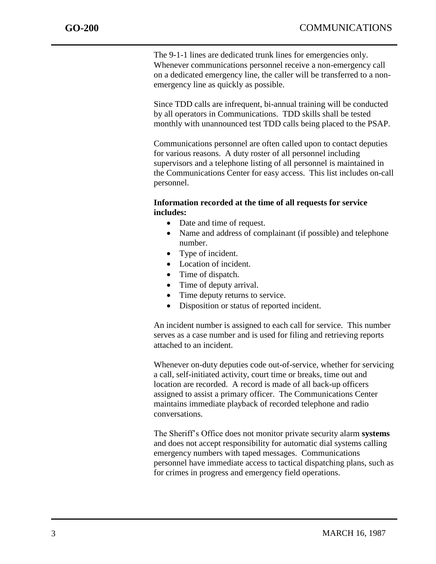The 9-1-1 lines are dedicated trunk lines for emergencies only. Whenever communications personnel receive a non-emergency call on a dedicated emergency line, the caller will be transferred to a nonemergency line as quickly as possible.

Since TDD calls are infrequent, bi-annual training will be conducted by all operators in Communications. TDD skills shall be tested monthly with unannounced test TDD calls being placed to the PSAP.

Communications personnel are often called upon to contact deputies for various reasons. A duty roster of all personnel including supervisors and a telephone listing of all personnel is maintained in the Communications Center for easy access. This list includes on-call personnel.

### **Information recorded at the time of all requests for service includes:**

- Date and time of request.
- Name and address of complainant (if possible) and telephone number.
- Type of incident.
- Location of incident.
- Time of dispatch.
- Time of deputy arrival.
- Time deputy returns to service.
- Disposition or status of reported incident.

An incident number is assigned to each call for service. This number serves as a case number and is used for filing and retrieving reports attached to an incident.

Whenever on-duty deputies code out-of-service, whether for servicing a call, self-initiated activity, court time or breaks, time out and location are recorded. A record is made of all back-up officers assigned to assist a primary officer. The Communications Center maintains immediate playback of recorded telephone and radio conversations.

The Sheriff's Office does not monitor private security alarm **systems** and does not accept responsibility for automatic dial systems calling emergency numbers with taped messages. Communications personnel have immediate access to tactical dispatching plans, such as for crimes in progress and emergency field operations.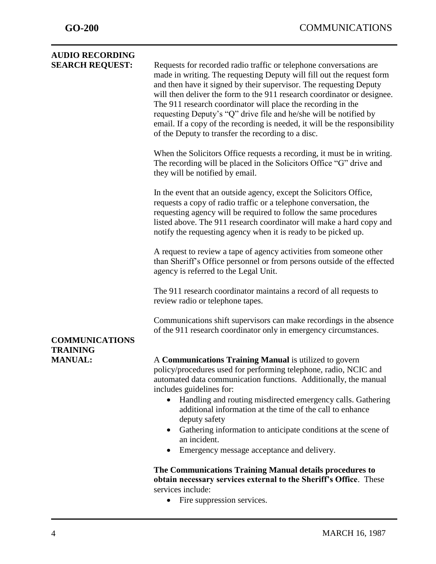| <b>AUDIO RECORDING</b>            |                                                                                                                                                                                                                                                                                                                                                                                                                                                                                                                                                                       |
|-----------------------------------|-----------------------------------------------------------------------------------------------------------------------------------------------------------------------------------------------------------------------------------------------------------------------------------------------------------------------------------------------------------------------------------------------------------------------------------------------------------------------------------------------------------------------------------------------------------------------|
| <b>SEARCH REQUEST:</b>            | Requests for recorded radio traffic or telephone conversations are<br>made in writing. The requesting Deputy will fill out the request form<br>and then have it signed by their supervisor. The requesting Deputy<br>will then deliver the form to the 911 research coordinator or designee.<br>The 911 research coordinator will place the recording in the<br>requesting Deputy's "Q" drive file and he/she will be notified by<br>email. If a copy of the recording is needed, it will be the responsibility<br>of the Deputy to transfer the recording to a disc. |
|                                   | When the Solicitors Office requests a recording, it must be in writing.<br>The recording will be placed in the Solicitors Office "G" drive and<br>they will be notified by email.                                                                                                                                                                                                                                                                                                                                                                                     |
|                                   | In the event that an outside agency, except the Solicitors Office,<br>requests a copy of radio traffic or a telephone conversation, the<br>requesting agency will be required to follow the same procedures<br>listed above. The 911 research coordinator will make a hard copy and<br>notify the requesting agency when it is ready to be picked up.                                                                                                                                                                                                                 |
|                                   | A request to review a tape of agency activities from someone other<br>than Sheriff's Office personnel or from persons outside of the effected<br>agency is referred to the Legal Unit.                                                                                                                                                                                                                                                                                                                                                                                |
|                                   | The 911 research coordinator maintains a record of all requests to<br>review radio or telephone tapes.                                                                                                                                                                                                                                                                                                                                                                                                                                                                |
| <b>COMMUNICATIONS</b>             | Communications shift supervisors can make recordings in the absence<br>of the 911 research coordinator only in emergency circumstances.                                                                                                                                                                                                                                                                                                                                                                                                                               |
| <b>TRAINING</b><br><b>MANUAL:</b> | A Communications Training Manual is utilized to govern<br>policy/procedures used for performing telephone, radio, NCIC and<br>automated data communication functions. Additionally, the manual<br>includes guidelines for:<br>Handling and routing misdirected emergency calls. Gathering<br>$\bullet$<br>additional information at the time of the call to enhance<br>deputy safety<br>Gathering information to anticipate conditions at the scene of<br>$\bullet$<br>an incident.<br>Emergency message acceptance and delivery.<br>٠                                |
|                                   | The Communications Training Manual details procedures to<br>obtain necessary services external to the Sheriff's Office. These<br>services include:<br>Fire suppression services.                                                                                                                                                                                                                                                                                                                                                                                      |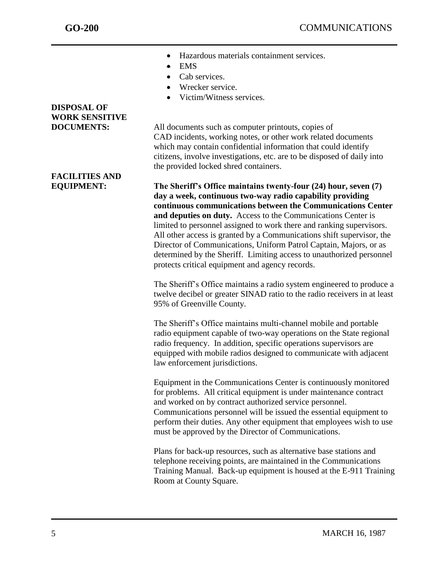- Hazardous materials containment services.
- **EMS**
- Cab services.
- Wrecker service.
- Victim/Witness services.

### **DISPOSAL OF WORK SENSITIVE**

**FACILITIES AND** 

**DOCUMENTS:** All documents such as computer printouts, copies of CAD incidents, working notes, or other work related documents which may contain confidential information that could identify citizens, involve investigations, etc. are to be disposed of daily into the provided locked shred containers.

**EQUIPMENT: The Sheriff's Office maintains twenty-four (24) hour, seven (7) day a week, continuous two-way radio capability providing continuous communications between the Communications Center and deputies on duty.** Access to the Communications Center is limited to personnel assigned to work there and ranking supervisors. All other access is granted by a Communications shift supervisor, the Director of Communications, Uniform Patrol Captain, Majors, or as determined by the Sheriff. Limiting access to unauthorized personnel protects critical equipment and agency records.

> The Sheriff's Office maintains a radio system engineered to produce a twelve decibel or greater SINAD ratio to the radio receivers in at least 95% of Greenville County.

The Sheriff's Office maintains multi-channel mobile and portable radio equipment capable of two-way operations on the State regional radio frequency.In addition, specific operations supervisors are equipped with mobile radios designed to communicate with adjacent law enforcement jurisdictions.

Equipment in the Communications Center is continuously monitored for problems. All critical equipment is under maintenance contract and worked on by contract authorized service personnel. Communications personnel will be issued the essential equipment to perform their duties. Any other equipment that employees wish to use must be approved by the Director of Communications.

Plans for back-up resources, such as alternative base stations and telephone receiving points, are maintained in the Communications Training Manual. Back-up equipment is housed at the E-911 Training Room at County Square.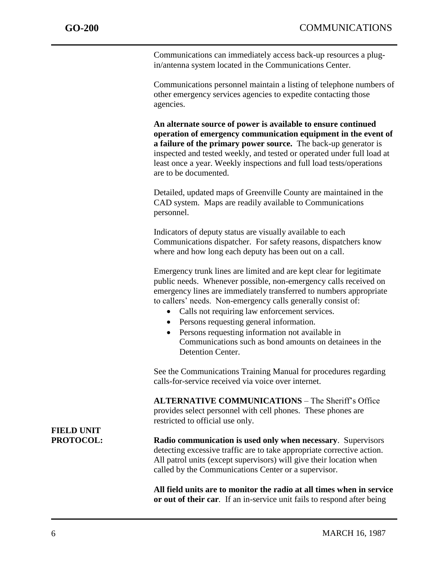Communications can immediately access back-up resources a plugin/antenna system located in the Communications Center.

Communications personnel maintain a listing of telephone numbers of other emergency services agencies to expedite contacting those agencies.

**An alternate source of power is available to ensure continued operation of emergency communication equipment in the event of a failure of the primary power source.** The back-up generator is inspected and tested weekly, and tested or operated under full load at least once a year. Weekly inspections and full load tests/operations are to be documented.

Detailed, updated maps of Greenville County are maintained in the CAD system. Maps are readily available to Communications personnel.

Indicators of deputy status are visually available to each Communications dispatcher. For safety reasons, dispatchers know where and how long each deputy has been out on a call.

Emergency trunk lines are limited and are kept clear for legitimate public needs. Whenever possible, non-emergency calls received on emergency lines are immediately transferred to numbers appropriate to callers' needs. Non-emergency calls generally consist of:

- Calls not requiring law enforcement services.
- Persons requesting general information.
- Persons requesting information not available in Communications such as bond amounts on detainees in the Detention Center.

See the Communications Training Manual for procedures regarding calls-for-service received via voice over internet.

**ALTERNATIVE COMMUNICATIONS** – The Sheriff's Office provides select personnel with cell phones. These phones are restricted to official use only.

**PROTOCOL: Radio communication is used only when necessary**. Supervisors detecting excessive traffic are to take appropriate corrective action. All patrol units (except supervisors) will give their location when called by the Communications Center or a supervisor.

> **All field units are to monitor the radio at all times when in service or out of their car***.* If an in-service unit fails to respond after being

# **FIELD UNIT**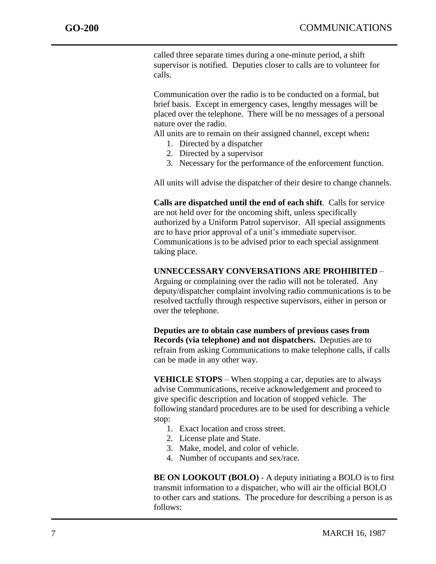called three separate times during a one-minute period, a shift supervisor is notified*.* Deputies closer to calls are to volunteer for calls.

Communication over the radio is to be conducted on a formal, but brief basis. Except in emergency cases, lengthy messages will be placed over the telephone. There will be no messages of a personal nature over the radio.

All units are to remain on their assigned channel, except when**:**

- 1. Directed by a dispatcher
- 2. Directed by a supervisor
- 3. Necessary for the performance of the enforcement function.

All units will advise the dispatcher of their desire to change channels.

**Calls are dispatched until the end of each shift**. Calls for service are not held over for the oncoming shift, unless specifically authorized by a Uniform Patrol supervisor. All special assignments are to have prior approval of a unit's immediate supervisor. Communications is to be advised prior to each special assignment taking place.

#### **UNNECCESSARY CONVERSATIONS ARE PROHIBITED** –

Arguing or complaining over the radio will not be tolerated. Any deputy/dispatcher complaint involving radio communications is to be resolved tactfully through respective supervisors, either in person or over the telephone.

**Deputies are to obtain case numbers of previous cases from Records (via telephone) and not dispatchers.** Deputies are to refrain from asking Communications to make telephone calls, if calls can be made in any other way.

**VEHICLE STOPS** – When stopping a car, deputies are to always advise Communications, receive acknowledgement and proceed to give specific description and location of stopped vehicle. The following standard procedures are to be used for describing a vehicle stop:

- 1. Exact location and cross street.
- 2. License plate and State.
- 3. Make, model, and color of vehicle.
- 4. Number of occupants and sex/race.

**BE ON LOOKOUT (BOLO)** - A deputy initiating a BOLO is to first transmit information to a dispatcher, who will air the official BOLO to other cars and stations. The procedure for describing a person is as follows: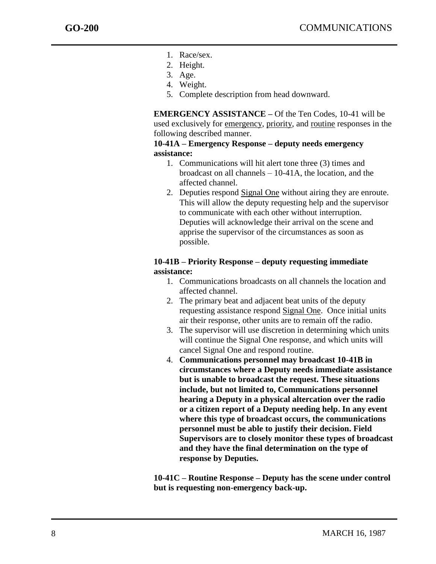- 1. Race/sex.
- 2. Height.
- 3. Age.
- 4. Weight.
- 5. Complete description from head downward.

**EMERGENCY ASSISTANCE –** Of the Ten Codes, 10-41 will be used exclusively for emergency, priority, and routine responses in the following described manner.

### **10-41A – Emergency Response – deputy needs emergency assistance:**

- 1. Communications will hit alert tone three (3) times and broadcast on all channels – 10-41A, the location, and the affected channel.
- 2. Deputies respond Signal One without airing they are enroute. This will allow the deputy requesting help and the supervisor to communicate with each other without interruption. Deputies will acknowledge their arrival on the scene and apprise the supervisor of the circumstances as soon as possible.

### **10-41B – Priority Response – deputy requesting immediate assistance:**

- 1. Communications broadcasts on all channels the location and affected channel.
- 2. The primary beat and adjacent beat units of the deputy requesting assistance respond Signal One. Once initial units air their response, other units are to remain off the radio.
- 3. The supervisor will use discretion in determining which units will continue the Signal One response, and which units will cancel Signal One and respond routine.
- 4. **Communications personnel may broadcast 10-41B in circumstances where a Deputy needs immediate assistance but is unable to broadcast the request. These situations include, but not limited to, Communications personnel hearing a Deputy in a physical altercation over the radio or a citizen report of a Deputy needing help. In any event where this type of broadcast occurs, the communications personnel must be able to justify their decision. Field Supervisors are to closely monitor these types of broadcast and they have the final determination on the type of response by Deputies.**

**10-41C – Routine Response – Deputy has the scene under control but is requesting non-emergency back-up.**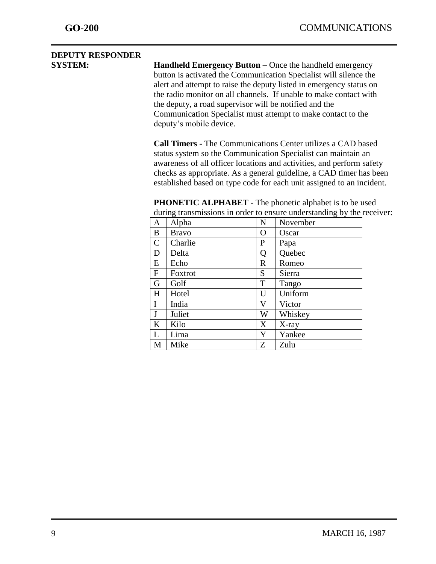## **DEPUTY RESPONDER**

**SYSTEM:** Handheld Emergency Button – Once the handheld emergency button is activated the Communication Specialist will silence the alert and attempt to raise the deputy listed in emergency status on the radio monitor on all channels. If unable to make contact with the deputy, a road supervisor will be notified and the Communication Specialist must attempt to make contact to the deputy's mobile device.

> **Call Timers -** The Communications Center utilizes a CAD based status system so the Communication Specialist can maintain an awareness of all officer locations and activities, and perform safety checks as appropriate. As a general guideline, a CAD timer has been established based on type code for each unit assigned to an incident.

|              |              |             | ر – G    |
|--------------|--------------|-------------|----------|
| A            | Alpha        | N           | November |
| B            | <b>Bravo</b> | $\mathbf O$ | Oscar    |
| $\mathsf{C}$ | Charlie      | P           | Papa     |
| D            | Delta        | Q           | Quebec   |
| E            | Echo         | $\mathbf R$ | Romeo    |
| $\mathbf{F}$ | Foxtrot      | S           | Sierra   |
| G            | Golf         | T           | Tango    |
| H            | Hotel        | U           | Uniform  |
| I            | India        | V           | Victor   |
| $\mathbf J$  | Juliet       | W           | Whiskey  |
| K            | Kilo         | X           | $X$ -ray |
| L            | Lima         | Y           | Yankee   |
| M            | Mike         | Z           | Zulu     |

**PHONETIC ALPHABET** - The phonetic alphabet is to be used during transmissions in order to ensure understanding by the receiver: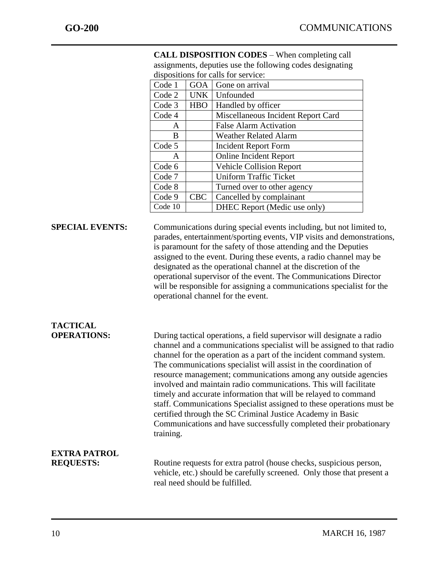|                                         | Code 1    | <b>GOA</b> | Gone on arrival                                                                                                                                                                                                                                                                                                                                                                                                                                                                                                                                                                                                                                                                                                 |  |
|-----------------------------------------|-----------|------------|-----------------------------------------------------------------------------------------------------------------------------------------------------------------------------------------------------------------------------------------------------------------------------------------------------------------------------------------------------------------------------------------------------------------------------------------------------------------------------------------------------------------------------------------------------------------------------------------------------------------------------------------------------------------------------------------------------------------|--|
|                                         | Code 2    | <b>UNK</b> | Unfounded                                                                                                                                                                                                                                                                                                                                                                                                                                                                                                                                                                                                                                                                                                       |  |
|                                         | Code 3    | <b>HBO</b> | Handled by officer                                                                                                                                                                                                                                                                                                                                                                                                                                                                                                                                                                                                                                                                                              |  |
|                                         | Code 4    |            | Miscellaneous Incident Report Card                                                                                                                                                                                                                                                                                                                                                                                                                                                                                                                                                                                                                                                                              |  |
|                                         | A         |            | <b>False Alarm Activation</b>                                                                                                                                                                                                                                                                                                                                                                                                                                                                                                                                                                                                                                                                                   |  |
|                                         | B         |            | <b>Weather Related Alarm</b>                                                                                                                                                                                                                                                                                                                                                                                                                                                                                                                                                                                                                                                                                    |  |
|                                         | Code 5    |            | <b>Incident Report Form</b>                                                                                                                                                                                                                                                                                                                                                                                                                                                                                                                                                                                                                                                                                     |  |
|                                         | A         |            | <b>Online Incident Report</b>                                                                                                                                                                                                                                                                                                                                                                                                                                                                                                                                                                                                                                                                                   |  |
|                                         | Code 6    |            | <b>Vehicle Collision Report</b>                                                                                                                                                                                                                                                                                                                                                                                                                                                                                                                                                                                                                                                                                 |  |
|                                         | Code 7    |            | <b>Uniform Traffic Ticket</b>                                                                                                                                                                                                                                                                                                                                                                                                                                                                                                                                                                                                                                                                                   |  |
|                                         | Code 8    |            | Turned over to other agency                                                                                                                                                                                                                                                                                                                                                                                                                                                                                                                                                                                                                                                                                     |  |
|                                         | Code 9    | <b>CBC</b> | Cancelled by complainant                                                                                                                                                                                                                                                                                                                                                                                                                                                                                                                                                                                                                                                                                        |  |
|                                         | Code 10   |            | DHEC Report (Medic use only)                                                                                                                                                                                                                                                                                                                                                                                                                                                                                                                                                                                                                                                                                    |  |
| <b>SPECIAL EVENTS:</b>                  |           |            | Communications during special events including, but not limited to,<br>parades, entertainment/sporting events, VIP visits and demonstrations,<br>is paramount for the safety of those attending and the Deputies<br>assigned to the event. During these events, a radio channel may be<br>designated as the operational channel at the discretion of the<br>operational supervisor of the event. The Communications Director<br>will be responsible for assigning a communications specialist for the<br>operational channel for the event.                                                                                                                                                                     |  |
| <b>TACTICAL</b><br><b>OPERATIONS:</b>   | training. |            | During tactical operations, a field supervisor will designate a radio<br>channel and a communications specialist will be assigned to that radio<br>channel for the operation as a part of the incident command system.<br>The communications specialist will assist in the coordination of<br>resource management; communications among any outside agencies<br>involved and maintain radio communications. This will facilitate<br>timely and accurate information that will be relayed to command<br>staff. Communications Specialist assigned to these operations must be<br>certified through the SC Criminal Justice Academy in Basic<br>Communications and have successfully completed their probationary |  |
| <b>EXTRA PATROL</b><br><b>REQUESTS:</b> |           |            | Routine requests for extra patrol (house checks, suspicious person,<br>vehicle, etc.) should be carefully screened. Only those that present a<br>real need should be fulfilled.                                                                                                                                                                                                                                                                                                                                                                                                                                                                                                                                 |  |

**CALL DISPOSITION CODES** – When completing call assignments, deputies use the following codes designating dispositions for calls for service: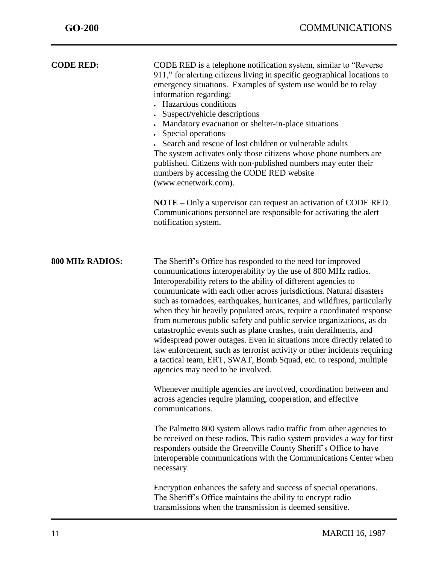| <b>CODE RED:</b>       | CODE RED is a telephone notification system, similar to "Reverse"<br>911," for alerting citizens living in specific geographical locations to<br>emergency situations. Examples of system use would be to relay<br>information regarding:<br>• Hazardous conditions<br>Suspect/vehicle descriptions<br>• Mandatory evacuation or shelter-in-place situations<br>Special operations<br>Search and rescue of lost children or vulnerable adults<br>The system activates only those citizens whose phone numbers are<br>published. Citizens with non-published numbers may enter their<br>numbers by accessing the CODE RED website<br>(www.ecnetwork.com).<br><b>NOTE</b> – Only a supervisor can request an activation of CODE RED.<br>Communications personnel are responsible for activating the alert<br>notification system.       |
|------------------------|---------------------------------------------------------------------------------------------------------------------------------------------------------------------------------------------------------------------------------------------------------------------------------------------------------------------------------------------------------------------------------------------------------------------------------------------------------------------------------------------------------------------------------------------------------------------------------------------------------------------------------------------------------------------------------------------------------------------------------------------------------------------------------------------------------------------------------------|
| <b>800 MHz RADIOS:</b> | The Sheriff's Office has responded to the need for improved<br>communications interoperability by the use of 800 MHz radios.<br>Interoperability refers to the ability of different agencies to<br>communicate with each other across jurisdictions. Natural disasters<br>such as tornadoes, earthquakes, hurricanes, and wildfires, particularly<br>when they hit heavily populated areas, require a coordinated response<br>from numerous public safety and public service organizations, as do<br>catastrophic events such as plane crashes, train derailments, and<br>widespread power outages. Even in situations more directly related to<br>law enforcement, such as terrorist activity or other incidents requiring<br>a tactical team, ERT, SWAT, Bomb Squad, etc. to respond, multiple<br>agencies may need to be involved. |
|                        | Whenever multiple agencies are involved, coordination between and<br>across agencies require planning, cooperation, and effective<br>communications.                                                                                                                                                                                                                                                                                                                                                                                                                                                                                                                                                                                                                                                                                  |
|                        | The Palmetto 800 system allows radio traffic from other agencies to<br>be received on these radios. This radio system provides a way for first<br>responders outside the Greenville County Sheriff's Office to have<br>interoperable communications with the Communications Center when<br>necessary.                                                                                                                                                                                                                                                                                                                                                                                                                                                                                                                                 |
|                        | Encryption enhances the safety and success of special operations.<br>The Sheriff's Office maintains the ability to encrypt radio<br>transmissions when the transmission is deemed sensitive.                                                                                                                                                                                                                                                                                                                                                                                                                                                                                                                                                                                                                                          |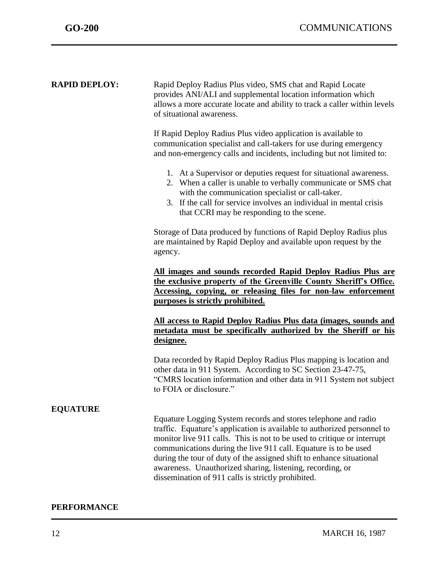| <b>RAPID DEPLOY:</b> | Rapid Deploy Radius Plus video, SMS chat and Rapid Locate<br>provides ANI/ALI and supplemental location information which<br>allows a more accurate locate and ability to track a caller within levels<br>of situational awareness.                                                                                                                                                                                                                                                |  |
|----------------------|------------------------------------------------------------------------------------------------------------------------------------------------------------------------------------------------------------------------------------------------------------------------------------------------------------------------------------------------------------------------------------------------------------------------------------------------------------------------------------|--|
|                      | If Rapid Deploy Radius Plus video application is available to<br>communication specialist and call-takers for use during emergency<br>and non-emergency calls and incidents, including but not limited to:                                                                                                                                                                                                                                                                         |  |
|                      | 1. At a Supervisor or deputies request for situational awareness.<br>2. When a caller is unable to verbally communicate or SMS chat<br>with the communication specialist or call-taker.<br>3. If the call for service involves an individual in mental crisis<br>that CCRI may be responding to the scene.                                                                                                                                                                         |  |
|                      | Storage of Data produced by functions of Rapid Deploy Radius plus<br>are maintained by Rapid Deploy and available upon request by the<br>agency.                                                                                                                                                                                                                                                                                                                                   |  |
|                      | All images and sounds recorded Rapid Deploy Radius Plus are<br>the exclusive property of the Greenville County Sheriff's Office.<br>Accessing, copying, or releasing files for non-law enforcement<br>purposes is strictly prohibited.                                                                                                                                                                                                                                             |  |
|                      | All access to Rapid Deploy Radius Plus data (images, sounds and<br>metadata must be specifically authorized by the Sheriff or his<br>designee.                                                                                                                                                                                                                                                                                                                                     |  |
|                      | Data recorded by Rapid Deploy Radius Plus mapping is location and<br>other data in 911 System. According to SC Section 23-47-75,<br>"CMRS location information and other data in 911 System not subject<br>to FOIA or disclosure."                                                                                                                                                                                                                                                 |  |
| <b>EQUATURE</b>      | Equature Logging System records and stores telephone and radio<br>traffic. Equature's application is available to authorized personnel to<br>monitor live 911 calls. This is not to be used to critique or interrupt<br>communications during the live 911 call. Equature is to be used<br>during the tour of duty of the assigned shift to enhance situational<br>awareness. Unauthorized sharing, listening, recording, or<br>dissemination of 911 calls is strictly prohibited. |  |

### **PERFORMANCE**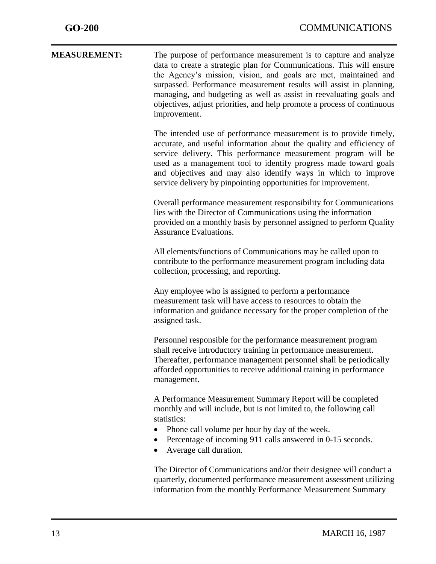| $GO-200$            | <b>COMMUNICATIONS</b>                                                                                                                                                                                                                                                                                                                                                                                                                                |
|---------------------|------------------------------------------------------------------------------------------------------------------------------------------------------------------------------------------------------------------------------------------------------------------------------------------------------------------------------------------------------------------------------------------------------------------------------------------------------|
| <b>MEASUREMENT:</b> | The purpose of performance measurement is to capture and analyze<br>data to create a strategic plan for Communications. This will ensure<br>the Agency's mission, vision, and goals are met, maintained and<br>surpassed. Performance measurement results will assist in planning,<br>managing, and budgeting as well as assist in reevaluating goals and<br>objectives, adjust priorities, and help promote a process of continuous<br>improvement. |
|                     | The intended use of performance measurement is to provide timely,<br>accurate, and useful information about the quality and efficiency of<br>service delivery. This performance measurement program will be<br>used as a management tool to identify progress made toward goals<br>and objectives and may also identify ways in which to improve<br>service delivery by pinpointing opportunities for improvement.                                   |
|                     | Overall performance measurement responsibility for Communications<br>lies with the Director of Communications using the information<br>provided on a monthly basis by personnel assigned to perform Quality<br><b>Assurance Evaluations.</b>                                                                                                                                                                                                         |
|                     | All elements/functions of Communications may be called upon to<br>contribute to the performance measurement program including data<br>collection, processing, and reporting.                                                                                                                                                                                                                                                                         |
|                     | Any employee who is assigned to perform a performance<br>measurement task will have access to resources to obtain the<br>information and guidance necessary for the proper completion of the<br>assigned task.                                                                                                                                                                                                                                       |
|                     | Personnel responsible for the performance measurement program<br>shall receive introductory training in performance measurement.<br>Thereafter, performance management personnel shall be periodically<br>afforded opportunities to receive additional training in performance<br>management.                                                                                                                                                        |
|                     | A Performance Measurement Summary Report will be completed<br>monthly and will include, but is not limited to, the following call<br>statistics:<br>Phone call volume per hour by day of the week.<br>Percentage of incoming 911 calls answered in 0-15 seconds.<br>Average call duration.                                                                                                                                                           |
|                     | The Director of Communications and/or their designee will conduct a<br>quarterly, documented performance measurement assessment utilizing<br>information from the monthly Performance Measurement Summary                                                                                                                                                                                                                                            |